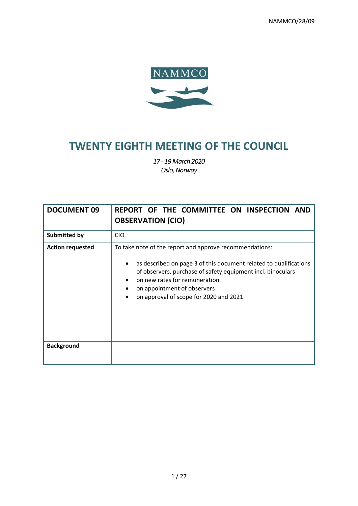NAMMCO/28/09



# **TWENTY EIGHTH MEETING OF THE COUNCIL**

*17 - 19March 2020 Oslo, Norway*

| <b>DOCUMENT 09</b>      | REPORT OF THE COMMITTEE ON INSPECTION AND<br><b>OBSERVATION (CIO)</b>                                                                                                                                                                                                                                 |
|-------------------------|-------------------------------------------------------------------------------------------------------------------------------------------------------------------------------------------------------------------------------------------------------------------------------------------------------|
| <b>Submitted by</b>     | <b>CIO</b>                                                                                                                                                                                                                                                                                            |
| <b>Action requested</b> | To take note of the report and approve recommendations:<br>as described on page 3 of this document related to qualifications<br>of observers, purchase of safety equipment incl. binoculars<br>on new rates for remuneration<br>on appointment of observers<br>on approval of scope for 2020 and 2021 |
| <b>Background</b>       |                                                                                                                                                                                                                                                                                                       |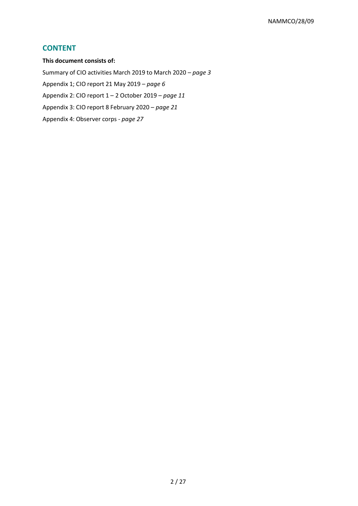# **CONTENT**

**This document consists of:** 

Summary of CIO activities March 2019 to March 2020 – *page 3*

Appendix 1; CIO report 21 May 2019 – *page 6*

Appendix 2: CIO report 1 – 2 October 2019 – *page 11*

Appendix 3: CIO report 8 February 2020 – *page 21*

Appendix 4: Observer corps - *page 27*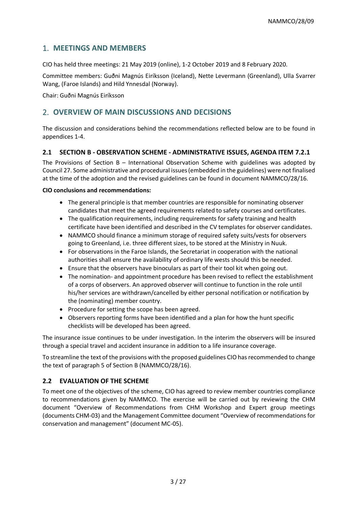# 1. **MEETINGS AND MEMBERS**

CIO has held three meetings: 21 May 2019 (online), 1-2 October 2019 and 8 February 2020.

Committee members: Guðni Magnús Eiríksson (Iceland), Nette Levermann (Greenland), Ulla Svarrer Wang, (Faroe Islands) and Hild Ynnesdal (Norway).

Chair: Guðni Magnús Eiríksson

# 2. **OVERVIEW OF MAIN DISCUSSIONS AND DECISIONS**

The discussion and considerations behind the recommendations reflected below are to be found in appendices 1-4.

#### **2.1 SECTION B - OBSERVATION SCHEME - ADMINISTRATIVE ISSUES, AGENDA ITEM 7.2.1**

The Provisions of Section B – International Observation Scheme with guidelines was adopted by Council 27. Some administrative and procedural issues (embedded in the guidelines) were not finalised at the time of the adoption and the revised guidelines can be found in document NAMMCO/28/16.

#### **CIO conclusions and recommendations:**

- The general principle is that member countries are responsible for nominating observer candidates that meet the agreed requirements related to safety courses and certificates.
- The qualification requirements, including requirements for safety training and health certificate have been identified and described in the CV templates for observer candidates.
- NAMMCO should finance a minimum storage of required safety suits/vests for observers going to Greenland, i.e. three different sizes, to be stored at the Ministry in Nuuk.
- For observations in the Faroe Islands, the Secretariat in cooperation with the national authorities shall ensure the availability of ordinary life wests should this be needed.
- Ensure that the observers have binoculars as part of their tool kit when going out.
- The nomination- and appointment procedure has been revised to reflect the establishment of a corps of observers. An approved observer will continue to function in the role until his/her services are withdrawn/cancelled by either personal notification or notification by the (nominating) member country.
- Procedure for setting the scope has been agreed.
- Observers reporting forms have been identified and a plan for how the hunt specific checklists will be developed has been agreed.

The insurance issue continues to be under investigation. In the interim the observers will be insured through a special travel and accident insurance in addition to a life insurance coverage.

To streamline the text of the provisions with the proposed guidelines CIO has recommended to change the text of paragraph 5 of Section B (NAMMCO/28/16).

#### **2.2 EVALUATION OF THE SCHEME**

To meet one of the objectives of the scheme, CIO has agreed to review member countries compliance to recommendations given by NAMMCO. The exercise will be carried out by reviewing the CHM document "Overview of Recommendations from CHM Workshop and Expert group meetings (documents CHM-03) and the Management Committee document "Overview of recommendations for conservation and management" (document MC-05).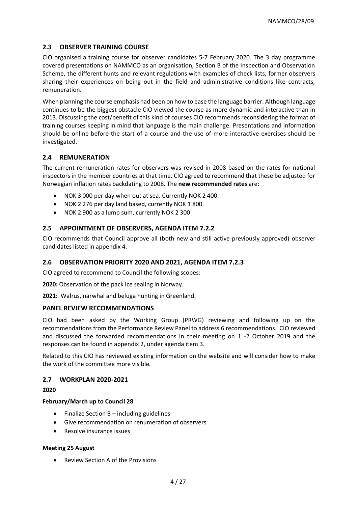#### **2.3 OBSERVER TRAINING COURSE**

CIO organised a training course for observer candidates 5-7 February 2020. The 3 day programme covered presentations on NAMMCO as an organisation, Section B of the Inspection and Observation Scheme, the different hunts and relevant regulations with examples of check lists, former observers sharing their experiences on being out in the field and administrative conditions like contracts, remuneration.

When planning the course emphasis had been on how to ease the language barrier. Although language continues to be the biggest obstacle CIO viewed the course as more dynamic and interactive than in 2013. Discussing the cost/benefit of this kind of courses CIO recommends reconsidering the format of training courses keeping in mind that language is the main challenge. Presentations and information should be online before the start of a course and the use of more interactive exercises should be investigated.

#### **2.4 REMUNERATION**

The current remuneration rates for observers was revised in 2008 based on the rates for national inspectors in the member countries at that time. CIO agreed to recommend that these be adjusted for Norwegian inflation rates backdating to 2008. The **new recommended rates** are:

- NOK 3 000 per day when out at sea. Currently NOK 2 400.
- NOK 2 276 per day land based, currently NOK 1 800.
- NOK 2 900 as a lump sum, currently NOK 2 300

#### **2.5 APPOINTMENT OF OBSERVERS, AGENDA ITEM 7.2.2**

CIO recommends that Council approve all (both new and still active previously approved) observer candidates listed in appendix 4.

#### **2.6 OBSERVATION PRIORITY 2020 AND 2021, AGENDA ITEM 7.2.3**

CIO agreed to recommend to Council the following scopes:

**2020:** Observation of the pack ice sealing in Norway.

**2021:** Walrus, narwhal and beluga hunting in Greenland.

#### **PANEL REVIEW RECOMMENDATIONS**

CIO had been asked by the Working Group (PRWG) reviewing and following up on the recommendations from the Performance Review Panel to address 6 recommendations. CIO reviewed and discussed the forwarded recommendations in their meeting on 1 -2 October 2019 and the responses can be found in appendix 2, under agenda item 3.

Related to this CIO has reviewed existing information on the website and will consider how to make the work of the committee more visible.

#### **2.7 WORKPLAN 2020-2021**

**2020**

#### **February/March up to Council 28**

- Finalize Section B including guidelines
- Give recommendation on renumeration of observers
- Resolve insurance issues

#### **Meeting 25 August**

• Review Section A of the Provisions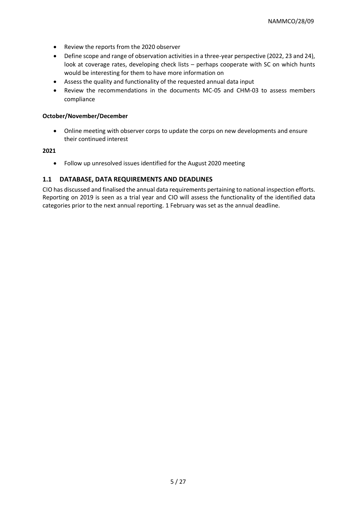- Review the reports from the 2020 observer
- Define scope and range of observation activities in a three-year perspective (2022, 23 and 24), look at coverage rates, developing check lists – perhaps cooperate with SC on which hunts would be interesting for them to have more information on
- Assess the quality and functionality of the requested annual data input
- Review the recommendations in the documents MC-05 and CHM-03 to assess members compliance

#### **October/November/December**

• Online meeting with observer corps to update the corps on new developments and ensure their continued interest

#### **2021**

• Follow up unresolved issues identified for the August 2020 meeting

#### **1.1 DATABASE, DATA REQUIREMENTS AND DEADLINES**

CIO has discussed and finalised the annual data requirements pertaining to national inspection efforts. Reporting on 2019 is seen as a trial year and CIO will assess the functionality of the identified data categories prior to the next annual reporting. 1 February was set as the annual deadline.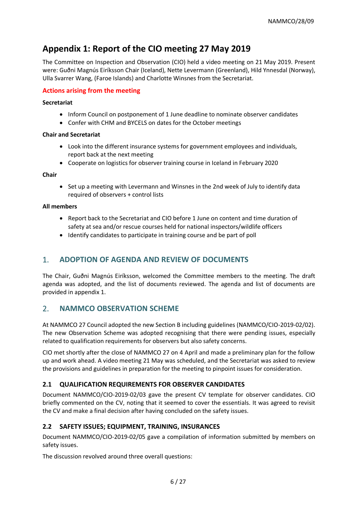# **Appendix 1: Report of the CIO meeting 27 May 2019**

The Committee on Inspection and Observation (CIO) held a video meeting on 21 May 2019. Present were: Guðni Magnús Eiríksson Chair (Iceland), Nette Levermann (Greenland), Hild Ynnesdal (Norway), Ulla Svarrer Wang, (Faroe Islands) and Charlotte Winsnes from the Secretariat.

#### **Actions arising from the meeting**

#### **Secretariat**

- Inform Council on postponement of 1 June deadline to nominate observer candidates
- Confer with CHM and BYCELS on dates for the October meetings

#### **Chair and Secretariat**

- Look into the different insurance systems for government employees and individuals, report back at the next meeting
- Cooperate on logistics for observer training course in Iceland in February 2020

#### **Chair**

• Set up a meeting with Levermann and Winsnes in the 2nd week of July to identify data required of observers + control lists

#### **All members**

- Report back to the Secretariat and CIO before 1 June on content and time duration of safety at sea and/or rescue courses held for national inspectors/wildlife officers
- Identify candidates to participate in training course and be part of poll

# 1. **ADOPTION OF AGENDA AND REVIEW OF DOCUMENTS**

The Chair, Guðni Magnús Eiríksson, welcomed the Committee members to the meeting. The draft agenda was adopted, and the list of documents reviewed. The agenda and list of documents are provided in appendix 1.

# 2. **NAMMCO OBSERVATION SCHEME**

At NAMMCO 27 Council adopted the new Section B including guidelines (NAMMCO/CIO-2019-02/02). The new Observation Scheme was adopted recognising that there were pending issues, especially related to qualification requirements for observers but also safety concerns.

CIO met shortly after the close of NAMMCO 27 on 4 April and made a preliminary plan for the follow up and work ahead. A video meeting 21 May was scheduled, and the Secretariat was asked to review the provisions and guidelines in preparation for the meeting to pinpoint issues for consideration.

#### **2.1 QUALIFICATION REQUIREMENTS FOR OBSERVER CANDIDATES**

Document NAMMCO/CIO-2019-02/03 gave the present CV template for observer candidates. CIO briefly commented on the CV, noting that it seemed to cover the essentials. It was agreed to revisit the CV and make a final decision after having concluded on the safety issues.

#### **2.2 SAFETY ISSUES; EQUIPMENT, TRAINING, INSURANCES**

Document NAMMCO/CIO-2019-02/05 gave a compilation of information submitted by members on safety issues.

The discussion revolved around three overall questions: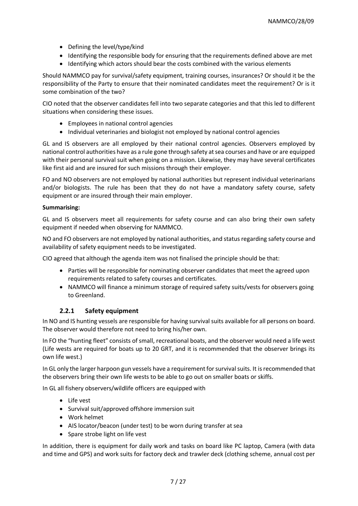- Defining the level/type/kind
- Identifying the responsible body for ensuring that the requirements defined above are met
- Identifying which actors should bear the costs combined with the various elements

Should NAMMCO pay for survival/safety equipment, training courses, insurances? Or should it be the responsibility of the Party to ensure that their nominated candidates meet the requirement? Or is it some combination of the two?

CIO noted that the observer candidates fell into two separate categories and that this led to different situations when considering these issues.

- Employees in national control agencies
- Individual veterinaries and biologist not employed by national control agencies

GL and IS observers are all employed by their national control agencies. Observers employed by national control authorities have as a rule gone through safety at sea courses and have or are equipped with their personal survival suit when going on a mission. Likewise, they may have several certificates like first aid and are insured for such missions through their employer.

FO and NO observers are not employed by national authorities but represent individual veterinarians and/or biologists. The rule has been that they do not have a mandatory safety course, safety equipment or are insured through their main employer.

#### **Summarising:**

GL and IS observers meet all requirements for safety course and can also bring their own safety equipment if needed when observing for NAMMCO.

NO and FO observers are not employed by national authorities, and status regarding safety course and availability of safety equipment needs to be investigated.

CIO agreed that although the agenda item was not finalised the principle should be that:

- Parties will be responsible for nominating observer candidates that meet the agreed upon requirements related to safety courses and certificates.
- NAMMCO will finance a minimum storage of required safety suits/vests for observers going to Greenland.

#### **2.2.1 Safety equipment**

In NO and IS hunting vessels are responsible for having survival suits available for all persons on board. The observer would therefore not need to bring his/her own.

In FO the "hunting fleet" consists of small, recreational boats, and the observer would need a life west (Life wests are required for boats up to 20 GRT, and it is recommended that the observer brings its own life west.)

In GL only the larger harpoon gun vessels have a requirement for survival suits. It is recommended that the observers bring their own life wests to be able to go out on smaller boats or skiffs.

In GL all fishery observers/wildlife officers are equipped with

- Life vest
- Survival suit/approved offshore immersion suit
- Work helmet
- AIS locator/beacon (under test) to be worn during transfer at sea
- Spare strobe light on life vest

In addition, there is equipment for daily work and tasks on board like PC laptop, Camera (with data and time and GPS) and work suits for factory deck and trawler deck (clothing scheme, annual cost per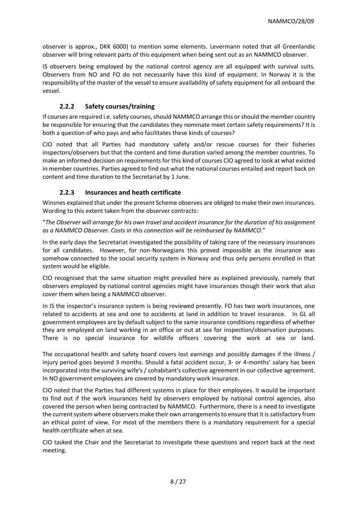observer is approx., DKK 6000) to mention some elements. Levermann noted that all Greenlandic observer will bring relevant parts of this equipment when being sent out as an NAMMCO observer.

IS observers being employed by the national control agency are all equipped with survival suits. Observers from NO and FO do not necessarily have this kind of equipment. In Norway it is the responsibility of the master of the vessel to ensure availability of safety equipment for all onboard the vessel.

### **2.2.2 Safety courses/training**

If courses are required i.e. safety courses, should NAMMCO arrange this or should the member country be responsible for ensuring that the candidates they nominate meet certain safety requirements? It is both a question of who pays and who facilitates these kinds of courses?

CIO noted that all Parties had mandatory safety and/or rescue courses for their fisheries inspectors/observers but that the content and time duration varied among the member countries. To make an informed decision on requirements for this kind of courses CIO agreed to look at what existed in member countries. Parties agreed to find out what the national courses entailed and report back on content and time duration to the Secretariat by 1 June.

### **2.2.3 Insurances and heath certificate**

Winsnes explained that under the present Scheme observes are obliged to make their own insurances. Wording to this extent taken from the observer contracts:

"*The Observer will arrange for his own travel and accident insurance for the duration of his assignment as a NAMMCO Observer. Costs in this connection will be reimbursed by NAMMCO*."

In the early days the Secretariat investigated the possibility of taking care of the necessary insurances for all candidates. However, for non-Norwegians this proved impossible as the insurance was somehow connected to the social security system in Norway and thus only persons enrolled in that system would be eligible.

CIO recognised that the same situation might prevailed here as explained previously, namely that observers employed by national control agencies might have insurances though their work that also cover them when being a NAMMCO observer.

In IS the inspector's insurance system is being reviewed presently. FO has two work insurances, one related to accidents at sea and one to accidents at land in addition to travel insurance. In GL all government employees are by default subject to the same insurance conditions regardless of whether they are employed on land working in an office or out at sea for inspection/observation purposes. There is no special insurance for wildlife officers covering the work at sea or land.

The occupational health and safety board covers lost earnings and possibly damages if the illness / injury period goes beyond 3 months. Should a fatal accident occur, 3- or 4-months' salary has been incorporated into the surviving wife's / cohabitant's collective agreement in our collective agreement. In NO government employees are covered by mandatory work insurance.

CIO noted that the Parties had different systems in place for their employees. It would be important to find out if the work insurances held by observers employed by national control agencies, also covered the person when being contracted by NAMMCO. Furthermore, there is a need to investigate the current system where observers make their own arrangements to ensure that it is satisfactory from an ethical point of view. For most of the members there is a mandatory requirement for a special health certificate when at sea.

CIO tasked the Chair and the Secretariat to investigate these questions and report back at the next meeting.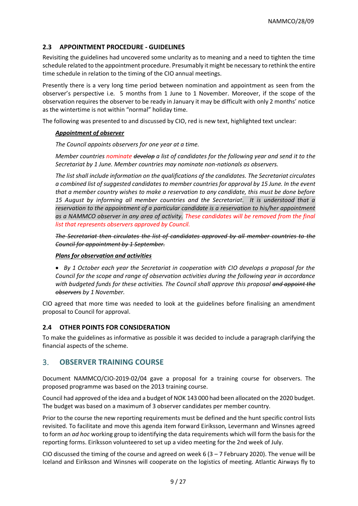#### **2.3 APPOINTMENT PROCEDURE - GUIDELINES**

Revisiting the guidelines had uncovered some unclarity as to meaning and a need to tighten the time schedule related to the appointment procedure. Presumably it might be necessary to rethink the entire time schedule in relation to the timing of the CIO annual meetings.

Presently there is a very long time period between nomination and appointment as seen from the observer's perspective i.e. 5 months from 1 June to 1 November. Moreover, if the scope of the observation requires the observer to be ready in January it may be difficult with only 2 months' notice as the wintertime is not within "normal" holiday time.

The following was presented to and discussed by CIO, red is new text, highlighted text unclear:

#### *Appointment of observer*

*The Council appoints observers for one year at a time.* 

*Member countries nominate develop a list of candidates for the following year and send it to the Secretariat by 1 June. Member countries may nominate non-nationals as observers.* 

*The list shall include information on the qualifications of the candidates. The Secretariat circulates a combined list of suggested candidates to member countries for approval by 15 June. In the event that a member country wishes to make a reservation to any candidate, this must be done before 15 August by informing all member countries and the Secretariat. It is understood that a reservation to the appointment of a particular candidate is a reservation to his/her appointment as a NAMMCO observer in any area of activity. These candidates will be removed from the final list that represents observers approved by Council.* 

*The Secretariat then circulates the list of candidates approved by all member countries to the Council for appointment by 1 September.*

#### *Plans for observation and activities*

• *By 1 October each year the Secretariat in cooperation with CIO develops a proposal for the Council for the scope and range of observation activities during the following year in accordance with budgeted funds for these activities. The Council shall approve this proposal and appoint the observers by 1 November.* 

CIO agreed that more time was needed to look at the guidelines before finalising an amendment proposal to Council for approval.

#### **2.4 OTHER POINTS FOR CONSIDERATION**

To make the guidelines as informative as possible it was decided to include a paragraph clarifying the financial aspects of the scheme.

#### 3. **OBSERVER TRAINING COURSE**

Document NAMMCO/CIO-2019-02/04 gave a proposal for a training course for observers. The proposed programme was based on the 2013 training course.

Council had approved of the idea and a budget of NOK 143 000 had been allocated on the 2020 budget. The budget was based on a maximum of 3 observer candidates per member country.

Prior to the course the new reporting requirements must be defined and the hunt specific control lists revisited. To facilitate and move this agenda item forward Eiríksson, Levermann and Winsnes agreed to form an *ad hoc* working group to identifying the data requirements which will form the basis for the reporting forms. Eiríksson volunteered to set up a video meeting for the 2nd week of July.

CIO discussed the timing of the course and agreed on week 6  $(3 - 7$  February 2020). The venue will be Iceland and Eiríksson and Winsnes will cooperate on the logistics of meeting. Atlantic Airways fly to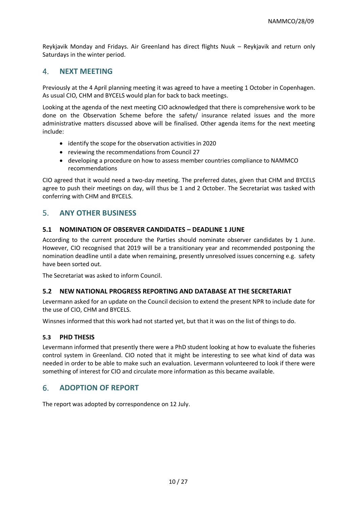Reykjavik Monday and Fridays. Air Greenland has direct flights Nuuk – Reykjavik and return only Saturdays in the winter period.

# 4. **NEXT MEETING**

Previously at the 4 April planning meeting it was agreed to have a meeting 1 October in Copenhagen. As usual CIO, CHM and BYCELS would plan for back to back meetings.

Looking at the agenda of the next meeting CIO acknowledged that there is comprehensive work to be done on the Observation Scheme before the safety/ insurance related issues and the more administrative matters discussed above will be finalised. Other agenda items for the next meeting include:

- identify the scope for the observation activities in 2020
- reviewing the recommendations from Council 27
- developing a procedure on how to assess member countries compliance to NAMMCO recommendations

CIO agreed that it would need a two-day meeting. The preferred dates, given that CHM and BYCELS agree to push their meetings on day, will thus be 1 and 2 October. The Secretariat was tasked with conferring with CHM and BYCELS.

# 5. **ANY OTHER BUSINESS**

#### **5.1 NOMINATION OF OBSERVER CANDIDATES – DEADLINE 1 JUNE**

According to the current procedure the Parties should nominate observer candidates by 1 June. However, CIO recognised that 2019 will be a transitionary year and recommended postponing the nomination deadline until a date when remaining, presently unresolved issues concerning e.g. safety have been sorted out.

The Secretariat was asked to inform Council.

#### **5.2 NEW NATIONAL PROGRESS REPORTING AND DATABASE AT THE SECRETARIAT**

Levermann asked for an update on the Council decision to extend the present NPR to include date for the use of CIO, CHM and BYCELS.

Winsnes informed that this work had not started yet, but that it was on the list of things to do.

#### **5.3 PHD THESIS**

Levermann informed that presently there were a PhD student looking at how to evaluate the fisheries control system in Greenland. CIO noted that it might be interesting to see what kind of data was needed in order to be able to make such an evaluation. Levermann volunteered to look if there were something of interest for CIO and circulate more information as this became available.

# 6. **ADOPTION OF REPORT**

The report was adopted by correspondence on 12 July.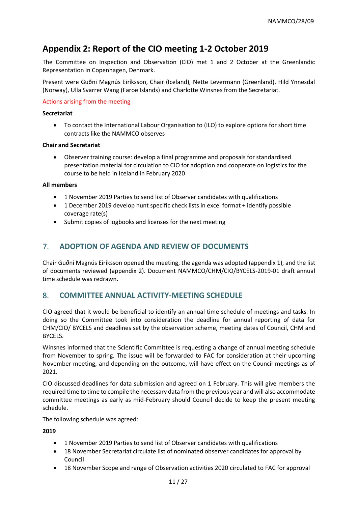# **Appendix 2: Report of the CIO meeting 1-2 October 2019**

The Committee on Inspection and Observation (CIO) met 1 and 2 October at the Greenlandic Representation in Copenhagen, Denmark.

Present were Guðni Magnús Eiríksson, Chair (Iceland), Nette Levermann (Greenland), Hild Ynnesdal (Norway), Ulla Svarrer Wang (Faroe Islands) and Charlotte Winsnes from the Secretariat.

#### Actions arising from the meeting

#### **Secretariat**

• To contact the International Labour Organisation to (ILO) to explore options for short time contracts like the NAMMCO observes

#### **Chair and Secretariat**

• Observer training course: develop a final programme and proposals for standardised presentation material for circulation to CIO for adoption and cooperate on logistics for the course to be held in Iceland in February 2020

#### **All members**

- 1 November 2019 Parties to send list of Observer candidates with qualifications
- 1 December 2019 develop hunt specific check lists in excel format + identify possible coverage rate(s)
- Submit copies of logbooks and licenses for the next meeting

# 7. **ADOPTION OF AGENDA AND REVIEW OF DOCUMENTS**

Chair Guðni Magnús Eiríksson opened the meeting, the agenda was adopted (appendix 1), and the list of documents reviewed (appendix 2). Document NAMMCO/CHM/CIO/BYCELS-2019-01 draft annual time schedule was redrawn.

# 8. **COMMITTEE ANNUAL ACTIVITY-MEETING SCHEDULE**

CIO agreed that it would be beneficial to identify an annual time schedule of meetings and tasks. In doing so the Committee took into consideration the deadline for annual reporting of data for CHM/CIO/ BYCELS and deadlines set by the observation scheme, meeting dates of Council, CHM and BYCELS.

Winsnes informed that the Scientific Committee is requesting a change of annual meeting schedule from November to spring. The issue will be forwarded to FAC for consideration at their upcoming November meeting, and depending on the outcome, will have effect on the Council meetings as of 2021.

CIO discussed deadlines for data submission and agreed on 1 February. This will give members the required time to time to compile the necessary data from the previous year and will also accommodate committee meetings as early as mid-February should Council decide to keep the present meeting schedule.

The following schedule was agreed:

#### **2019**

- 1 November 2019 Parties to send list of Observer candidates with qualifications
- 18 November Secretariat circulate list of nominated observer candidates for approval by Council
- 18 November Scope and range of Observation activities 2020 circulated to FAC for approval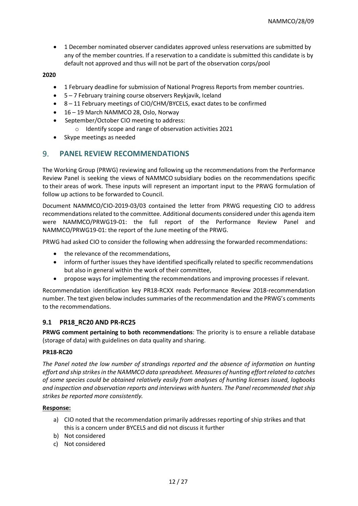• 1 December nominated observer candidates approved unless reservations are submitted by any of the member countries. If a reservation to a candidate is submitted this candidate is by default not approved and thus will not be part of the observation corps/pool

#### **2020**

- 1 February deadline for submission of National Progress Reports from member countries.
- 5 7 February training course observers Reykjavik, Iceland
- 8 11 February meetings of CIO/CHM/BYCELS, exact dates to be confirmed
- 16 19 March NAMMCO 28, Oslo, Norway
- September/October CIO meeting to address:
	- o Identify scope and range of observation activities 2021
- Skype meetings as needed

# 9. **PANEL REVIEW RECOMMENDATIONS**

The Working Group (PRWG) reviewing and following up the recommendations from the Performance Review Panel is seeking the views of NAMMCO subsidiary bodies on the recommendations specific to their areas of work. These inputs will represent an important input to the PRWG formulation of follow up actions to be forwarded to Council.

Document NAMMCO/CIO-2019-03/03 contained the letter from PRWG requesting CIO to address recommendations related to the committee. Additional documents considered under this agenda item were NAMMCO/PRWG19-01: the full report of the Performance Review Panel and NAMMCO/PRWG19-01: the report of the June meeting of the PRWG.

PRWG had asked CIO to consider the following when addressing the forwarded recommendations:

- the relevance of the recommendations,
- inform of further issues they have identified specifically related to specific recommendations but also in general within the work of their committee,
- propose ways for implementing the recommendations and improving processes if relevant.

Recommendation identification key PR18-RCXX reads Performance Review 2018-recommendation number. The text given below includes summaries of the recommendation and the PRWG's comments to the recommendations.

#### **9.1 PR18\_RC20 AND PR-RC25**

**PRWG comment pertaining to both recommendations**: The priority is to ensure a reliable database (storage of data) with guidelines on data quality and sharing.

#### **PR18-RC20**

*The Panel noted the low number of strandings reported and the absence of information on hunting effort and ship strikes in the NAMMCO data spreadsheet. Measures of hunting effort related to catches of some species could be obtained relatively easily from analyses of hunting licenses issued, logbooks and inspection and observation reports and interviews with hunters. The Panel recommended that ship strikes be reported more consistently.*

#### **Response:**

- a) CIO noted that the recommendation primarily addresses reporting of ship strikes and that this is a concern under BYCELS and did not discuss it further
- b) Not considered
- c) Not considered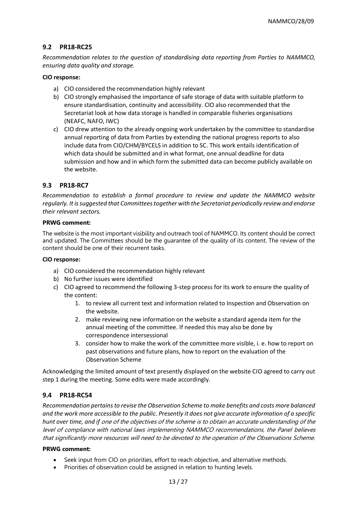#### **9.2 PR18-RC25**

*Recommendation relates to the question of standardising data reporting from Parties to NAMMCO, ensuring data quality and storage.* 

#### **CIO response:**

- a) CIO considered the recommendation highly relevant
- b) CIO strongly emphasised the importance of safe storage of data with suitable platform to ensure standardisation, continuity and accessibility. CIO also recommended that the Secretariat look at how data storage is handled in comparable fisheries organisations (NEAFC, NAFO, IWC)
- c) CIO drew attention to the already ongoing work undertaken by the committee to standardise annual reporting of data from Parties by extending the national progress reports to also include data from CIO/CHM/BYCELS in addition to SC. This work entails identification of which data should be submitted and in what format, one annual deadline for data submission and how and in which form the submitted data can become publicly available on the website.

#### **9.3 PR18-RC7**

*Recommendation to establish a formal procedure to review and update the NAMMCO website regularly. It is suggested that Committees together with the Secretariat periodically review and endorse their relevant sectors.* 

#### **PRWG comment:**

The website is the most important visibility and outreach tool of NAMMCO. Its content should be correct and updated. The Committees should be the guarantee of the quality of its content. The review of the content should be one of their recurrent tasks.

#### **CIO response:**

- a) CIO considered the recommendation highly relevant
- b) No further issues were identified
- c) CIO agreed to recommend the following 3-step process for its work to ensure the quality of the content:
	- 1. to review all current text and information related to Inspection and Observation on the website.
	- 2. make reviewing new information on the website a standard agenda item for the annual meeting of the committee. If needed this may also be done by correspondence intersessional
	- 3. consider how to make the work of the committee more visible, i. e. how to report on past observations and future plans, how to report on the evaluation of the Observation Scheme

Acknowledging the limited amount of text presently displayed on the website CIO agreed to carry out step 1 during the meeting. Some edits were made accordingly.

#### **9.4 PR18-RC54**

*Recommendation pertains to revise the Observation Scheme to make benefits and costs more balanced and the work more accessible to the public. Presently it does not give accurate information of a specific hunt over time, and if* one of the objectives of the scheme is to obtain an accurate understanding of the level of compliance with national laws implementing NAMMCO recommendations, the Panel believes that significantly more resources will need to be devoted to the operation of the Observations Scheme.

#### **PRWG comment:**

- Seek input from CIO on priorities, effort to reach objective, and alternative methods.
- Priorities of observation could be assigned in relation to hunting levels.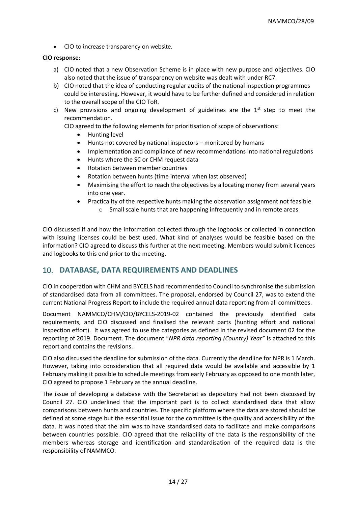• CIO to increase transparency on website.

#### **CIO response:**

- a) CIO noted that a new Observation Scheme is in place with new purpose and objectives. CIO also noted that the issue of transparency on website was dealt with under RC7.
- b) CIO noted that the idea of conducting regular audits of the national inspection programmes could be interesting. However, it would have to be further defined and considered in relation to the overall scope of the CIO ToR.
- c) New provisions and ongoing development of guidelines are the  $1<sup>st</sup>$  step to meet the recommendation.
	- CIO agreed to the following elements for prioritisation of scope of observations:
		- Hunting level
		- Hunts not covered by national inspectors monitored by humans
		- Implementation and compliance of new recommendations into national regulations
		- Hunts where the SC or CHM request data
		- Rotation between member countries
		- Rotation between hunts (time interval when last observed)
		- Maximising the effort to reach the objectives by allocating money from several years into one year.
		- Practicality of the respective hunts making the observation assignment not feasible o Small scale hunts that are happening infrequently and in remote areas

CIO discussed if and how the information collected through the logbooks or collected in connection with issuing licenses could be best used. What kind of analyses would be feasible based on the information? CIO agreed to discuss this further at the next meeting. Members would submit licences and logbooks to this end prior to the meeting.

# 10. **DATABASE, DATA REQUIREMENTS AND DEADLINES**

CIO in cooperation with CHM and BYCELS had recommended to Council to synchronise the submission of standardised data from all committees. The proposal, endorsed by Council 27, was to extend the current National Progress Report to include the required annual data reporting from all committees.

Document NAMMCO/CHM/CIO/BYCELS-2019-02 contained the previously identified data requirements, and CIO discussed and finalised the relevant parts (hunting effort and national inspection effort). It was agreed to use the categories as defined in the revised document 02 for the reporting of 2019. Document. The document "*NPR data reporting (Country) Year"* is attached to this report and contains the revisions.

CIO also discussed the deadline for submission of the data. Currently the deadline for NPR is 1 March. However, taking into consideration that all required data would be available and accessible by 1 February making it possible to schedule meetings from early February as opposed to one month later, CIO agreed to propose 1 February as the annual deadline.

The issue of developing a database with the Secretariat as depository had not been discussed by Council 27. CIO underlined that the important part is to collect standardised data that allow comparisons between hunts and countries. The specific platform where the data are stored should be defined at some stage but the essential issue for the committee is the quality and accessibility of the data. It was noted that the aim was to have standardised data to facilitate and make comparisons between countries possible. CIO agreed that the reliability of the data is the responsibility of the members whereas storage and identification and standardisation of the required data is the responsibility of NAMMCO.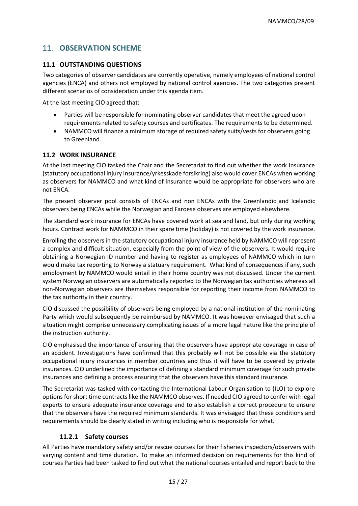# 11. **OBSERVATION SCHEME**

#### **11.1 OUTSTANDING QUESTIONS**

Two categories of observer candidates are currently operative, namely employees of national control agencies (ENCA) and others not employed by national control agencies. The two categories present different scenarios of consideration under this agenda item.

At the last meeting CIO agreed that:

- Parties will be responsible for nominating observer candidates that meet the agreed upon requirements related to safety courses and certificates. The requirements to be determined.
- NAMMCO will finance a minimum storage of required safety suits/vests for observers going to Greenland.

#### **11.2 WORK INSURANCE**

At the last meeting CIO tasked the Chair and the Secretariat to find out whether the work insurance (statutory occupational injury insurance/yrkesskade forsikring) also would cover ENCAs when working as observers for NAMMCO and what kind of insurance would be appropriate for observers who are not ENCA.

The present observer pool consists of ENCAs and non ENCAs with the Greenlandic and Icelandic observers being ENCAs while the Norwegian and Faroese observes are employed elsewhere.

The standard work insurance for ENCAs have covered work at sea and land, but only during working hours. Contract work for NAMMCO in their spare time (holiday) is not covered by the work insurance.

Enrolling the observers in the statutory occupational injury insurance held by NAMMCO will represent a complex and difficult situation, especially from the point of view of the observers. It would require obtaining a Norwegian ID number and having to register as employees of NAMMCO which in turn would make tax reporting to Norway a statuary requirement. What kind of consequences if any, such employment by NAMMCO would entail in their home country was not discussed. Under the current system Norwegian observers are automatically reported to the Norwegian tax authorities whereas all non-Norwegian observers are themselves responsible for reporting their income from NAMMCO to the tax authority in their country.

CIO discussed the possibility of observers being employed by a national institution of the nominating Party which would subsequently be reimbursed by NAMMCO. It was however envisaged that such a situation might comprise unnecessary complicating issues of a more legal nature like the principle of the instruction authority.

CIO emphasised the importance of ensuring that the observers have appropriate coverage in case of an accident. Investigations have confirmed that this probably will not be possible via the statutory occupational injury insurances in member countries and thus it will have to be covered by private insurances. CIO underlined the importance of defining a standard minimum coverage for such private insurances and defining a process ensuring that the observers have this standard insurance.

The Secretariat was tasked with contacting the International Labour Organisation to (ILO) to explore options for short time contracts like the NAMMCO observes. If needed CIO agreed to confer with legal experts to ensure adequate insurance coverage and to also establish a correct procedure to ensure that the observers have the required minimum standards. It was envisaged that these conditions and requirements should be clearly stated in writing including who is responsible for what.

#### **11.2.1 Safety courses**

All Parties have mandatory safety and/or rescue courses for their fisheries inspectors/observers with varying content and time duration. To make an informed decision on requirements for this kind of courses Parties had been tasked to find out what the national courses entailed and report back to the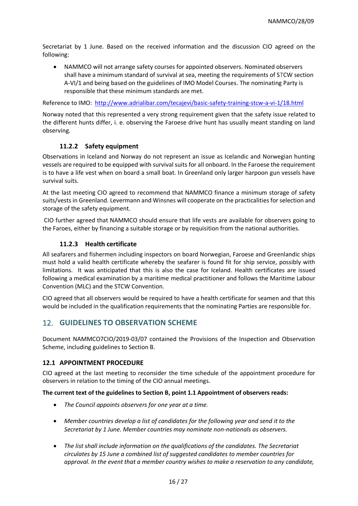Secretariat by 1 June. Based on the received information and the discussion CIO agreed on the following:

• NAMMCO will not arrange safety courses for appointed observers. Nominated observers shall have a minimum standard of survival at sea, meeting the requirements of STCW section A-VI/1 and being based on the guidelines of IMO Model Courses. The nominating Party is responsible that these minimum standards are met.

Reference to IMO: <http://www.adrialibar.com/tecajevi/basic-safety-training-stcw-a-vi-1/18.html>

Norway noted that this represented a very strong requirement given that the safety issue related to the different hunts differ, i. e. observing the Faroese drive hunt has usually meant standing on land observing.

### **11.2.2 Safety equipment**

Observations in Iceland and Norway do not represent an issue as Icelandic and Norwegian hunting vessels are required to be equipped with survival suits for all onboard. In the Faroese the requirement is to have a life vest when on board a small boat. In Greenland only larger harpoon gun vessels have survival suits.

At the last meeting CIO agreed to recommend that NAMMCO finance a minimum storage of safety suits/vests in Greenland. Levermann and Winsnes will cooperate on the practicalities for selection and storage of the safety equipment.

CIO further agreed that NAMMCO should ensure that life vests are available for observers going to the Faroes, either by financing a suitable storage or by requisition from the national authorities.

#### **11.2.3 Health certificate**

All seafarers and fishermen including inspectors on board Norwegian, Faroese and Greenlandic ships must hold a valid health certificate whereby the seafarer is found fit for ship service, possibly with limitations. It was anticipated that this is also the case for Iceland. Health certificates are issued following a medical examination by a maritime medical practitioner and follows the Maritime Labour Convention (MLC) and the STCW Convention.

CIO agreed that all observers would be required to have a health certificate for seamen and that this would be included in the qualification requirements that the nominating Parties are responsible for.

# 12. **GUIDELINES TO OBSERVATION SCHEME**

Document NAMMCO7CIO/2019-03/07 contained the Provisions of the Inspection and Observation Scheme, including guidelines to Section B.

#### **12.1 APPOINTMENT PROCEDURE**

CIO agreed at the last meeting to reconsider the time schedule of the appointment procedure for observers in relation to the timing of the CIO annual meetings.

#### **The current text of the guidelines to Section B, point 1.1 Appointment of observers reads:**

- *The Council appoints observers for one year at a time.*
- *Member countries develop a list of candidates for the following year and send it to the Secretariat by 1 June. Member countries may nominate non-nationals as observers.*
- *The list shall include information on the qualifications of the candidates. The Secretariat circulates by 15 June a combined list of suggested candidates to member countries for approval. In the event that a member country wishes to make a reservation to any candidate,*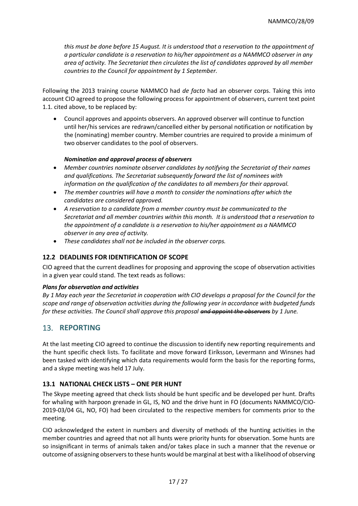*this must be done before 15 August. It is understood that a reservation to the appointment of a particular candidate is a reservation to his/her appointment as a NAMMCO observer in any area of activity. The Secretariat then circulates the list of candidates approved by all member countries to the Council for appointment by 1 September.*

Following the 2013 training course NAMMCO had *de facto* had an observer corps. Taking this into account CIO agreed to propose the following process for appointment of observers, current text point 1.1. cited above, to be replaced by:

• Council approves and appoints observers. An approved observer will continue to function until her/his services are redrawn/cancelled either by personal notification or notification by the (nominating) member country. Member countries are required to provide a minimum of two observer candidates to the pool of observers.

#### *Nomination and approval process of observers*

- *Member countries nominate observer candidates by notifying the Secretariat of their names and qualifications. The Secretariat subsequently forward the list of nominees with information on the qualification of the candidates to all members for their approval.*
- *The member countries will have a month to consider the nominations after which the candidates are considered approved.*
- *A reservation to a candidate from a member country must be communicated to the Secretariat and all member countries within this month. It is understood that a reservation to the appointment of a candidate is a reservation to his/her appointment as a NAMMCO observer in any area of activity.*
- *These candidates shall not be included in the observer corps.*

### **12.2 DEADLINES FOR IDENTIFICATION OF SCOPE**

CIO agreed that the current deadlines for proposing and approving the scope of observation activities in a given year could stand. The text reads as follows:

#### *Plans for observation and activities*

*By 1 May each year the Secretariat in cooperation with CIO develops a proposal for the Council for the scope and range of observation activities during the following year in accordance with budgeted funds for these activities. The Council shall approve this proposal and appoint the observers by 1 June.*

# 13. **REPORTING**

At the last meeting CIO agreed to continue the discussion to identify new reporting requirements and the hunt specific check lists. To facilitate and move forward Eiríksson, Levermann and Winsnes had been tasked with identifying which data requirements would form the basis for the reporting forms, and a skype meeting was held 17 July.

#### **13.1 NATIONAL CHECK LISTS – ONE PER HUNT**

The Skype meeting agreed that check lists should be hunt specific and be developed per hunt. Drafts for whaling with harpoon grenade in GL, IS, NO and the drive hunt in FO (documents NAMMCO/CIO-2019-03/04 GL, NO, FO) had been circulated to the respective members for comments prior to the meeting.

CIO acknowledged the extent in numbers and diversity of methods of the hunting activities in the member countries and agreed that not all hunts were priority hunts for observation. Some hunts are so insignificant in terms of animals taken and/or takes place in such a manner that the revenue or outcome of assigning observers to these hunts would be marginal at best with a likelihood of observing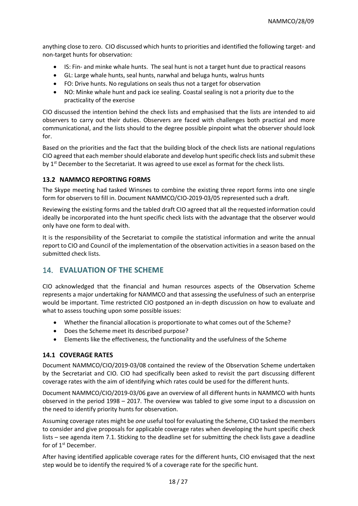anything close to zero. CIO discussed which hunts to priorities and identified the following target- and non-target hunts for observation:

- IS: Fin- and minke whale hunts. The seal hunt is not a target hunt due to practical reasons
- GL: Large whale hunts, seal hunts, narwhal and beluga hunts, walrus hunts
- FO: Drive hunts. No regulations on seals thus not a target for observation
- NO: Minke whale hunt and pack ice sealing. Coastal sealing is not a priority due to the practicality of the exercise

CIO discussed the intention behind the check lists and emphasised that the lists are intended to aid observers to carry out their duties. Observers are faced with challenges both practical and more communicational, and the lists should to the degree possible pinpoint what the observer should look for.

Based on the priorities and the fact that the building block of the check lists are national regulations CIO agreed that each member should elaborate and develop hunt specific check lists and submit these by 1<sup>st</sup> December to the Secretariat. It was agreed to use excel as format for the check lists.

#### **13.2 NAMMCO REPORTING FORMS**

The Skype meeting had tasked Winsnes to combine the existing three report forms into one single form for observers to fill in. Document NAMMCO/CIO-2019-03/05 represented such a draft.

Reviewing the existing forms and the tabled draft CIO agreed that all the requested information could ideally be incorporated into the hunt specific check lists with the advantage that the observer would only have one form to deal with.

It is the responsibility of the Secretariat to compile the statistical information and write the annual report to CIO and Council of the implementation of the observation activities in a season based on the submitted check lists.

# 14. **EVALUATION OF THE SCHEME**

CIO acknowledged that the financial and human resources aspects of the Observation Scheme represents a major undertaking for NAMMCO and that assessing the usefulness of such an enterprise would be important. Time restricted CIO postponed an in-depth discussion on how to evaluate and what to assess touching upon some possible issues:

- Whether the financial allocation is proportionate to what comes out of the Scheme?
- Does the Scheme meet its described purpose?
- Elements like the effectiveness, the functionality and the usefulness of the Scheme

#### **14.1 COVERAGE RATES**

Document NAMMCO/CIO/2019-03/08 contained the review of the Observation Scheme undertaken by the Secretariat and CIO. CIO had specifically been asked to revisit the part discussing different coverage rates with the aim of identifying which rates could be used for the different hunts.

Document NAMMCO/CIO/2019-03/06 gave an overview of all different hunts in NAMMCO with hunts observed in the period 1998 – 2017. The overview was tabled to give some input to a discussion on the need to identify priority hunts for observation.

Assuming coverage rates might be *one* useful tool for evaluating the Scheme, CIO tasked the members to consider and give proposals for applicable coverage rates when developing the hunt specific check lists – see agenda item 7.1. Sticking to the deadline set for submitting the check lists gave a deadline for of 1<sup>st</sup> December.

After having identified applicable coverage rates for the different hunts, CIO envisaged that the next step would be to identify the required % of a coverage rate for the specific hunt.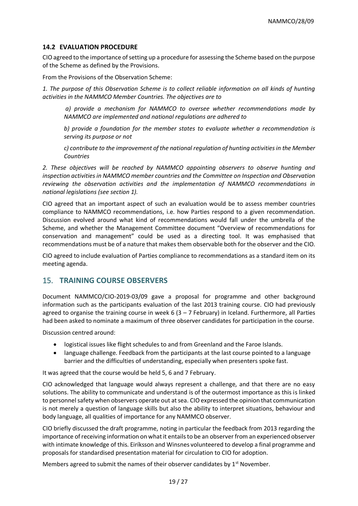#### **14.2 EVALUATION PROCEDURE**

CIO agreed to the importance of setting up a procedure for assessing the Scheme based on the purpose of the Scheme as defined by the Provisions.

From the Provisions of the Observation Scheme:

*1. The purpose of this Observation Scheme is to collect reliable information on all kinds of hunting activities in the NAMMCO Member Countries. The objectives are to*

*a) provide a mechanism for NAMMCO to oversee whether recommendations made by NAMMCO are implemented and national regulations are adhered to* 

*b) provide a foundation for the member states to evaluate whether a recommendation is serving its purpose or not* 

*c) contribute to the improvement of the national regulation of hunting activities in the Member Countries* 

*2. These objectives will be reached by NAMMCO appointing observers to observe hunting and inspection activities in NAMMCO member countries and the Committee on Inspection and Observation reviewing the observation activities and the implementation of NAMMCO recommendations in national legislations (see section 1).*

CIO agreed that an important aspect of such an evaluation would be to assess member countries compliance to NAMMCO recommendations, i.e. how Parties respond to a given recommendation. Discussion evolved around what kind of recommendations would fall under the umbrella of the Scheme, and whether the Management Committee document "Overview of recommendations for conservation and management" could be used as a directing tool. It was emphasised that recommendations must be of a nature that makes them observable both for the observer and the CIO.

CIO agreed to include evaluation of Parties compliance to recommendations as a standard item on its meeting agenda.

# 15. **TRAINING COURSE OBSERVERS**

Document NAMMCO/CIO-2019-03/09 gave a proposal for programme and other background information such as the participants evaluation of the last 2013 training course. CIO had previously agreed to organise the training course in week 6 (3 – 7 February) in Iceland. Furthermore, all Parties had been asked to nominate a maximum of three observer candidates for participation in the course.

Discussion centred around:

- logistical issues like flight schedules to and from Greenland and the Faroe Islands.
- language challenge. Feedback from the participants at the last course pointed to a language barrier and the difficulties of understanding, especially when presenters spoke fast.

It was agreed that the course would be held 5, 6 and 7 February.

CIO acknowledged that language would always represent a challenge, and that there are no easy solutions. The ability to communicate and understand is of the outermost importance as this is linked to personnel safety when observers operate out at sea. CIO expressed the opinion that communication is not merely a question of language skills but also the ability to interpret situations, behaviour and body language, all qualities of importance for any NAMMCO observer.

CIO briefly discussed the draft programme, noting in particular the feedback from 2013 regarding the importance of receiving information on what it entails to be an observer from an experienced observer with intimate knowledge of this. Eiríksson and Winsnes volunteered to develop a final programme and proposals for standardised presentation material for circulation to CIO for adoption.

Members agreed to submit the names of their observer candidates by  $1<sup>st</sup>$  November.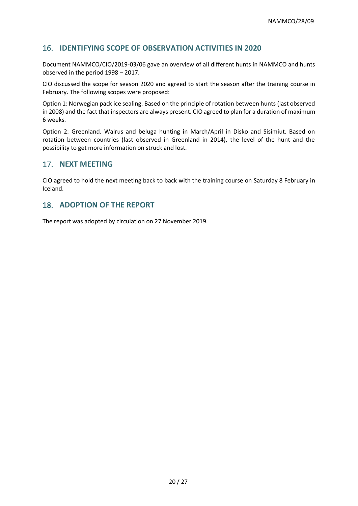# 16. **IDENTIFYING SCOPE OF OBSERVATION ACTIVITIES IN 2020**

Document NAMMCO/CIO/2019-03/06 gave an overview of all different hunts in NAMMCO and hunts observed in the period 1998 – 2017.

CIO discussed the scope for season 2020 and agreed to start the season after the training course in February. The following scopes were proposed:

Option 1: Norwegian pack ice sealing. Based on the principle of rotation between hunts (last observed in 2008) and the fact that inspectors are always present. CIO agreed to plan for a duration of maximum 6 weeks.

Option 2: Greenland. Walrus and beluga hunting in March/April in Disko and Sisimiut. Based on rotation between countries (last observed in Greenland in 2014), the level of the hunt and the possibility to get more information on struck and lost.

# 17. **NEXT MEETING**

CIO agreed to hold the next meeting back to back with the training course on Saturday 8 February in Iceland.

### 18. **ADOPTION OF THE REPORT**

The report was adopted by circulation on 27 November 2019.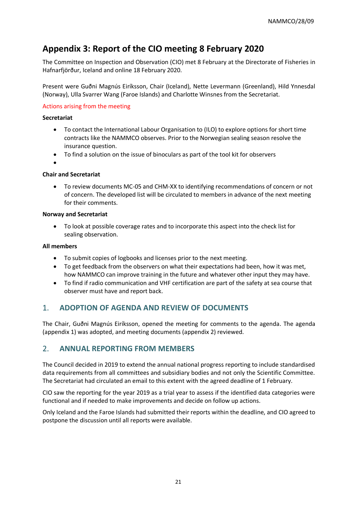# **Appendix 3: Report of the CIO meeting 8 February 2020**

The Committee on Inspection and Observation (CIO) met 8 February at the Directorate of Fisheries in Hafnarfjörður, Iceland and online 18 February 2020.

Present were Guðni Magnús Eiríksson, Chair (Iceland), Nette Levermann (Greenland), Hild Ynnesdal (Norway), Ulla Svarrer Wang (Faroe Islands) and Charlotte Winsnes from the Secretariat.

#### Actions arising from the meeting

#### **Secretariat**

- To contact the International Labour Organisation to (ILO) to explore options for short time contracts like the NAMMCO observes. Prior to the Norwegian sealing season resolve the insurance question.
- To find a solution on the issue of binoculars as part of the tool kit for observers

•

#### **Chair and Secretariat**

• To review documents MC-05 and CHM-XX to identifying recommendations of concern or not of concern. The developed list will be circulated to members in advance of the next meeting for their comments.

#### **Norway and Secretariat**

• To look at possible coverage rates and to incorporate this aspect into the check list for sealing observation.

#### **All members**

- To submit copies of logbooks and licenses prior to the next meeting.
- To get feedback from the observers on what their expectations had been, how it was met, how NAMMCO can improve training in the future and whatever other input they may have.
- To find if radio communication and VHF certification are part of the safety at sea course that observer must have and report back.

# 1. **ADOPTION OF AGENDA AND REVIEW OF DOCUMENTS**

The Chair, Guðni Magnús Eiríksson, opened the meeting for comments to the agenda. The agenda (appendix 1) was adopted, and meeting documents (appendix 2) reviewed.

# 2. **ANNUAL REPORTING FROM MEMBERS**

The Council decided in 2019 to extend the annual national progress reporting to include standardised data requirements from all committees and subsidiary bodies and not only the Scientific Committee. The Secretariat had circulated an email to this extent with the agreed deadline of 1 February.

CIO saw the reporting for the year 2019 as a trial year to assess if the identified data categories were functional and if needed to make improvements and decide on follow up actions.

Only Iceland and the Faroe Islands had submitted their reports within the deadline, and CIO agreed to postpone the discussion until all reports were available.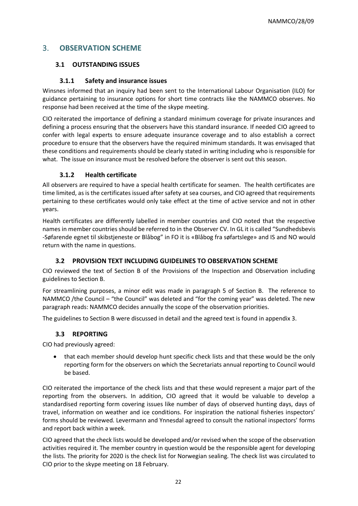# 3. **OBSERVATION SCHEME**

### **3.1 OUTSTANDING ISSUES**

### **3.1.1 Safety and insurance issues**

Winsnes informed that an inquiry had been sent to the International Labour Organisation (ILO) for guidance pertaining to insurance options for short time contracts like the NAMMCO observes. No response had been received at the time of the skype meeting.

CIO reiterated the importance of defining a standard minimum coverage for private insurances and defining a process ensuring that the observers have this standard insurance. If needed CIO agreed to confer with legal experts to ensure adequate insurance coverage and to also establish a correct procedure to ensure that the observers have the required minimum standards. It was envisaged that these conditions and requirements should be clearly stated in writing including who is responsible for what. The issue on insurance must be resolved before the observer is sent out this season.

# **3.1.2 Health certificate**

All observers are required to have a special health certificate for seamen. The health certificates are time limited, as is the certificates issued after safety at sea courses, and CIO agreed that requirements pertaining to these certificates would only take effect at the time of active service and not in other years.

Health certificates are differently labelled in member countries and CIO noted that the respective names in member countries should be referred to in the Observer CV. In GL it is called "Sundhedsbevis -Søfarende egnet til skibstjeneste or Blåbog" in FO it is «Blåbog fra søfartslege» and IS and NO would return with the name in questions.

# **3.2 PROVISION TEXT INCLUDING GUIDELINES TO OBSERVATION SCHEME**

CIO reviewed the text of Section B of the Provisions of the Inspection and Observation including guidelines to Section B.

For streamlining purposes, a minor edit was made in paragraph 5 of Section B. The reference to NAMMCO /the Council – "the Council" was deleted and "for the coming year" was deleted. The new paragraph reads: NAMMCO decides annually the scope of the observation priorities.

The guidelines to Section B were discussed in detail and the agreed text is found in appendix 3.

# **3.3 REPORTING**

CIO had previously agreed:

• that each member should develop hunt specific check lists and that these would be the only reporting form for the observers on which the Secretariats annual reporting to Council would be based.

CIO reiterated the importance of the check lists and that these would represent a major part of the reporting from the observers. In addition, CIO agreed that it would be valuable to develop a standardised reporting form covering issues like number of days of observed hunting days, days of travel, information on weather and ice conditions. For inspiration the national fisheries inspectors' forms should be reviewed. Levermann and Ynnesdal agreed to consult the national inspectors' forms and report back within a week.

CIO agreed that the check lists would be developed and/or revised when the scope of the observation activities required it. The member country in question would be the responsible agent for developing the lists. The priority for 2020 is the check list for Norwegian sealing. The check list was circulated to CIO prior to the skype meeting on 18 February.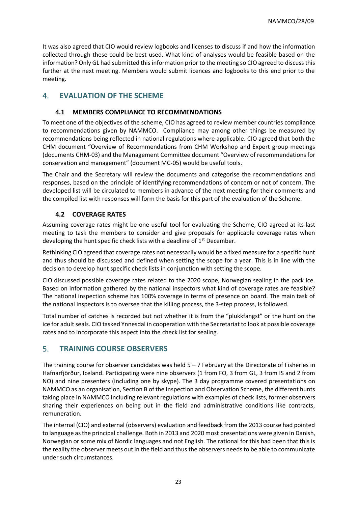It was also agreed that CIO would review logbooks and licenses to discuss if and how the information collected through these could be best used. What kind of analyses would be feasible based on the information? Only GL had submitted this information prior to the meeting so CIO agreed to discuss this further at the next meeting. Members would submit licences and logbooks to this end prior to the meeting.

# 4. **EVALUATION OF THE SCHEME**

#### **4.1 MEMBERS COMPLIANCE TO RECOMMENDATIONS**

To meet one of the objectives of the scheme, CIO has agreed to review member countries compliance to recommendations given by NAMMCO. Compliance may among other things be measured by recommendations being reflected in national regulations where applicable. CIO agreed that both the CHM document "Overview of Recommendations from CHM Workshop and Expert group meetings (documents CHM-03) and the Management Committee document "Overview of recommendations for conservation and management" (document MC-05) would be useful tools.

The Chair and the Secretary will review the documents and categorise the recommendations and responses, based on the principle of identifying recommendations of concern or not of concern. The developed list will be circulated to members in advance of the next meeting for their comments and the compiled list with responses will form the basis for this part of the evaluation of the Scheme.

# **4.2 COVERAGE RATES**

Assuming coverage rates might be one useful tool for evaluating the Scheme, CIO agreed at its last meeting to task the members to consider and give proposals for applicable coverage rates when developing the hunt specific check lists with a deadline of  $1<sup>st</sup>$  December.

Rethinking CIO agreed that coverage rates not necessarily would be a fixed measure for a specific hunt and thus should be discussed and defined when setting the scope for a year. This is in line with the decision to develop hunt specific check lists in conjunction with setting the scope.

CIO discussed possible coverage rates related to the 2020 scope, Norwegian sealing in the pack ice. Based on information gathered by the national inspectors what kind of coverage rates are feasible? The national inspection scheme has 100% coverage in terms of presence on board. The main task of the national inspectors is to oversee that the killing process, the 3-step process, is followed.

Total number of catches is recorded but not whether it is from the "plukkfangst" or the hunt on the ice for adult seals. CIO tasked Ynnesdal in cooperation with the Secretariat to look at possible coverage rates and to incorporate this aspect into the check list for sealing.

# 5. **TRAINING COURSE OBSERVERS**

The training course for observer candidates was held 5 – 7 February at the Directorate of Fisheries in Hafnarfjörður, Iceland. Participating were nine observers (1 from FO, 3 from GL, 3 from IS and 2 from NO) and nine presenters (including one by skype). The 3 day programme covered presentations on NAMMCO as an organisation, Section B of the Inspection and Observation Scheme, the different hunts taking place in NAMMCO including relevant regulations with examples of check lists, former observers sharing their experiences on being out in the field and administrative conditions like contracts, remuneration.

The internal (CIO) and external (observers) evaluation and feedback from the 2013 course had pointed to language as the principal challenge. Both in 2013 and 2020 most presentations were given in Danish, Norwegian or some mix of Nordic languages and not English. The rational for this had been that this is the reality the observer meets out in the field and thus the observers needs to be able to communicate under such circumstances.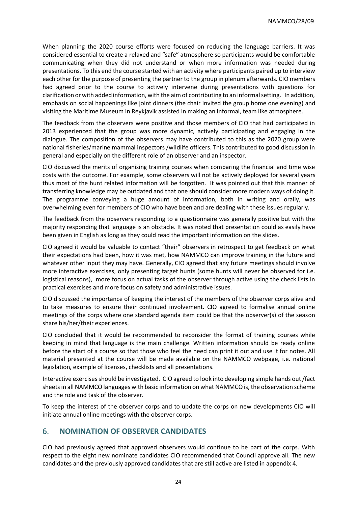When planning the 2020 course efforts were focused on reducing the language barriers. It was considered essential to create a relaxed and "safe" atmosphere so participants would be comfortable communicating when they did not understand or when more information was needed during presentations. To this end the course started with an activity where participants paired up to interview each other for the purpose of presenting the partner to the group in plenum afterwards. CIO members had agreed prior to the course to actively intervene during presentations with questions for clarification or with added information, with the aim of contributing to an informal setting. In addition, emphasis on social happenings like joint dinners (the chair invited the group home one evening) and visiting the Maritime Museum in Reykjavik assisted in making an informal, team like atmosphere.

The feedback from the observers were positive and those members of CIO that had participated in 2013 experienced that the group was more dynamic, actively participating and engaging in the dialogue. The composition of the observers may have contributed to this as the 2020 group were national fisheries/marine mammal inspectors /wildlife officers. This contributed to good discussion in general and especially on the different role of an observer and an inspector.

CIO discussed the merits of organising training courses when comparing the financial and time wise costs with the outcome. For example, some observers will not be actively deployed for several years thus most of the hunt related information will be forgotten. It was pointed out that this manner of transferring knowledge may be outdated and that one should consider more modern ways of doing it. The programme conveying a huge amount of information, both in writing and orally, was overwhelming even for members of CIO who have been and are dealing with these issues regularly.

The feedback from the observers responding to a questionnaire was generally positive but with the majority responding that language is an obstacle. It was noted that presentation could as easily have been given in English as long as they could read the important information on the slides.

CIO agreed it would be valuable to contact "their" observers in retrospect to get feedback on what their expectations had been, how it was met, how NAMMCO can improve training in the future and whatever other input they may have. Generally, CIO agreed that any future meetings should involve more interactive exercises, only presenting target hunts (some hunts will never be observed for i.e. logistical reasons), more focus on actual tasks of the observer through active using the check lists in practical exercises and more focus on safety and administrative issues.

CIO discussed the importance of keeping the interest of the members of the observer corps alive and to take measures to ensure their continued involvement. CIO agreed to formalise annual online meetings of the corps where one standard agenda item could be that the observer(s) of the season share his/her/their experiences.

CIO concluded that it would be recommended to reconsider the format of training courses while keeping in mind that language is the main challenge. Written information should be ready online before the start of a course so that those who feel the need can print it out and use it for notes. All material presented at the course will be made available on the NAMMCO webpage, i.e. national legislation, example of licenses, checklists and all presentations.

Interactive exercises should be investigated. CIO agreed to look into developing simple hands out /fact sheets in all NAMMCO languages with basic information on what NAMMCO is, the observation scheme and the role and task of the observer.

To keep the interest of the observer corps and to update the corps on new developments CIO will initiate annual online meetings with the observer corps.

# 6. **NOMINATION OF OBSERVER CANDIDATES**

CIO had previously agreed that approved observers would continue to be part of the corps. With respect to the eight new nominate candidates CIO recommended that Council approve all. The new candidates and the previously approved candidates that are still active are listed in appendix 4.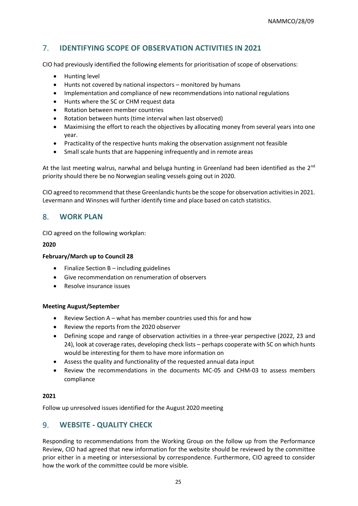# 7. **IDENTIFYING SCOPE OF OBSERVATION ACTIVITIES IN 2021**

CIO had previously identified the following elements for prioritisation of scope of observations:

- Hunting level
- Hunts not covered by national inspectors monitored by humans
- Implementation and compliance of new recommendations into national regulations
- Hunts where the SC or CHM request data
- Rotation between member countries
- Rotation between hunts (time interval when last observed)
- Maximising the effort to reach the objectives by allocating money from several years into one year.
- Practicality of the respective hunts making the observation assignment not feasible
- Small scale hunts that are happening infrequently and in remote areas

At the last meeting walrus, narwhal and beluga hunting in Greenland had been identified as the  $2^{nd}$ priority should there be no Norwegian sealing vessels going out in 2020.

CIO agreed to recommend that these Greenlandic hunts be the scope for observation activities in 2021. Levermann and Winsnes will further identify time and place based on catch statistics.

# 8. **WORK PLAN**

CIO agreed on the following workplan:

#### **2020**

#### **February/March up to Council 28**

- Finalize Section B including guidelines
- Give recommendation on renumeration of observers
- Resolve insurance issues

#### **Meeting August/September**

- Review Section A what has member countries used this for and how
- Review the reports from the 2020 observer
- Defining scope and range of observation activities in a three-year perspective (2022, 23 and 24), look at coverage rates, developing check lists – perhaps cooperate with SC on which hunts would be interesting for them to have more information on
- Assess the quality and functionality of the requested annual data input
- Review the recommendations in the documents MC-05 and CHM-03 to assess members compliance

#### **2021**

Follow up unresolved issues identified for the August 2020 meeting

# 9. **WEBSITE - QUALITY CHECK**

Responding to recommendations from the Working Group on the follow up from the Performance Review, CIO had agreed that new information for the website should be reviewed by the committee prior either in a meeting or intersessional by correspondence. Furthermore, CIO agreed to consider how the work of the committee could be more visible.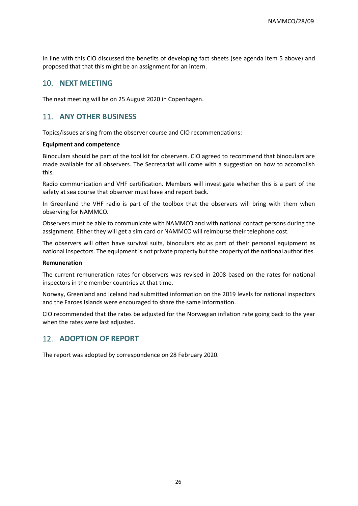In line with this CIO discussed the benefits of developing fact sheets (see agenda item 5 above) and proposed that that this might be an assignment for an intern.

# 10. **NEXT MEETING**

The next meeting will be on 25 August 2020 in Copenhagen.

# 11. **ANY OTHER BUSINESS**

Topics/issues arising from the observer course and CIO recommendations:

#### **Equipment and competence**

Binoculars should be part of the tool kit for observers. CIO agreed to recommend that binoculars are made available for all observers. The Secretariat will come with a suggestion on how to accomplish this.

Radio communication and VHF certification. Members will investigate whether this is a part of the safety at sea course that observer must have and report back.

In Greenland the VHF radio is part of the toolbox that the observers will bring with them when observing for NAMMCO.

Observers must be able to communicate with NAMMCO and with national contact persons during the assignment. Either they will get a sim card or NAMMCO will reimburse their telephone cost.

The observers will often have survival suits, binoculars etc as part of their personal equipment as national inspectors. The equipment is not private property but the property of the national authorities.

#### **Remuneration**

The current remuneration rates for observers was revised in 2008 based on the rates for national inspectors in the member countries at that time.

Norway, Greenland and Iceland had submitted information on the 2019 levels for national inspectors and the Faroes Islands were encouraged to share the same information.

CIO recommended that the rates be adjusted for the Norwegian inflation rate going back to the year when the rates were last adjusted.

# 12. **ADOPTION OF REPORT**

The report was adopted by correspondence on 28 February 2020.